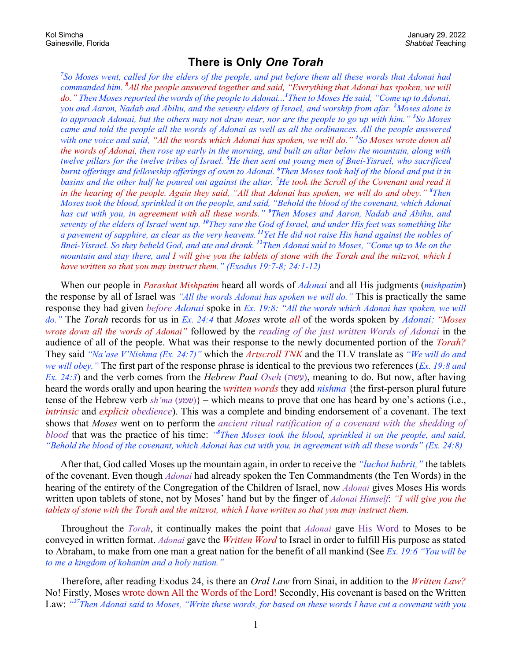## **There is Only** *One Torah*

*7 So Moses went, called for the elders of the people, and put before them all these words that Adonai had commanded him. <sup>8</sup> All the people answered together and said, "Everything that Adonai has spoken, we will do." Then Moses reported the words of the people to Adonai...<sup>1</sup> Then to Moses He said, "Come up to Adonai, you and Aaron, Nadab and Abihu, and the seventy elders of Israel, and worship from afar. <sup>2</sup> Moses alone is to approach Adonai, but the others may not draw near, nor are the people to go up with him." <sup>3</sup> So Moses came and told the people all the words of Adonai as well as all the ordinances. All the people answered with one voice and said, "All the words which Adonai has spoken, we will do." <sup>4</sup> So Moses wrote down all the words of Adonai, then rose up early in the morning, and built an altar below the mountain, along with twelve pillars for the twelve tribes of Israel. <sup>5</sup> He then sent out young men of Bnei-Yisrael, who sacrificed burnt offerings and fellowship offerings of oxen to Adonai. <sup>6</sup> Then Moses took half of the blood and put it in basins and the other half he poured out against the altar. <sup>7</sup> He took the Scroll of the Covenant and read it in the hearing of the people. Again they said, "All that Adonai has spoken, we will do and obey." <sup>8</sup> Then Moses took the blood, sprinkled it on the people, and said, "Behold the blood of the covenant, which Adonai has cut with you, in agreement with all these words." <sup>9</sup> Then Moses and Aaron, Nadab and Abihu, and seventy of the elders of Israel went up. <sup>10</sup>They saw the God of Israel, and under His feet was something like a pavement of sapphire, as clear as the very heavens. <sup>11</sup>Yet He did not raise His hand against the nobles of Bnei-Yisrael. So they beheld God, and ate and drank. <sup>12</sup> Then Adonai said to Moses, "Come up to Me on the mountain and stay there, and I will give you the tablets of stone with the Torah and the mitzvot, which I have written so that you may instruct them." (Exodus 19:7-8; 24:1-12)*

When our people in *Parashat Mishpatim* heard all words of *Adonai* and all His judgments (*mishpatim*) the response by all of Israel was *"All the words Adonai has spoken we will do."* This is practically the same response they had given *before Adonai* spoke in *Ex. 19:8: "All the words which Adonai has spoken, we will do."* The *Torah* records for us in *Ex. 24:4* that *Moses* wrote *all* of the words spoken by *Adonai: "Moses wrote down all the words of Adonai"* followed by the *reading of the just written Words of Adonai* in the audience of all of the people. What was their response to the newly documented portion of the *Torah?* They said *"Na'ase V'Nishma (Ex. 24:7)"* which the *Artscroll TNK* and the TLV translate as *"We will do and we will obey."* The first part of the response phrase is identical to the previous two references (*Ex. 19:8 and Ex. 24:3*) and the verb comes from the *Hebrew Paal Oseh* ( $\nu$ wy), meaning to do. But now, after having heard the words orally and upon hearing the *written words* they add *nishma* {the first-person plural future tense of the Hebrew verb *sh'ma* (  $\forall w$ )} – which means to prove that one has heard by one's actions (i.e., *intrinsic* and *explicit obedience*). This was a complete and binding endorsement of a covenant. The text shows that *Moses* went on to perform the *ancient ritual ratification of a covenant with the shedding of blood* that was the practice of his time: *"<sup>8</sup> Then Moses took the blood, sprinkled it on the people, and said, "Behold the blood of the covenant, which Adonai has cut with you, in agreement with all these words" (Ex. 24:8)*

After that, God called Moses up the mountain again, in order to receive the *"luchot habrit,"* the tablets of the covenant. Even though *Adonai* had already spoken the Ten Commandments (the Ten Words) in the hearing of the entirety of the Congregation of the Children of Israel, now *Adonai* gives Moses His words written upon tablets of stone, not by Moses' hand but by the finger of *Adonai Himself*: *"I will give you the tablets of stone with the Torah and the mitzvot, which I have written so that you may instruct them.*

Throughout the *Torah*, it continually makes the point that *Adonai* gave His Word to Moses to be conveyed in written format. *Adonai* gave the *Written Word* to Israel in order to fulfill His purpose as stated to Abraham, to make from one man a great nation for the benefit of all mankind (See *Ex. 19:6 "You will be to me a kingdom of kohanim and a holy nation."*

Therefore, after reading Exodus 24, is there an *Oral Law* from Sinai, in addition to the *Written Law?* No! Firstly, Moses wrote down All the Words of the Lord! Secondly, His covenant is based on the Written Law: *"<sup>27</sup>Then Adonai said to Moses, "Write these words, for based on these words I have cut a covenant with you*